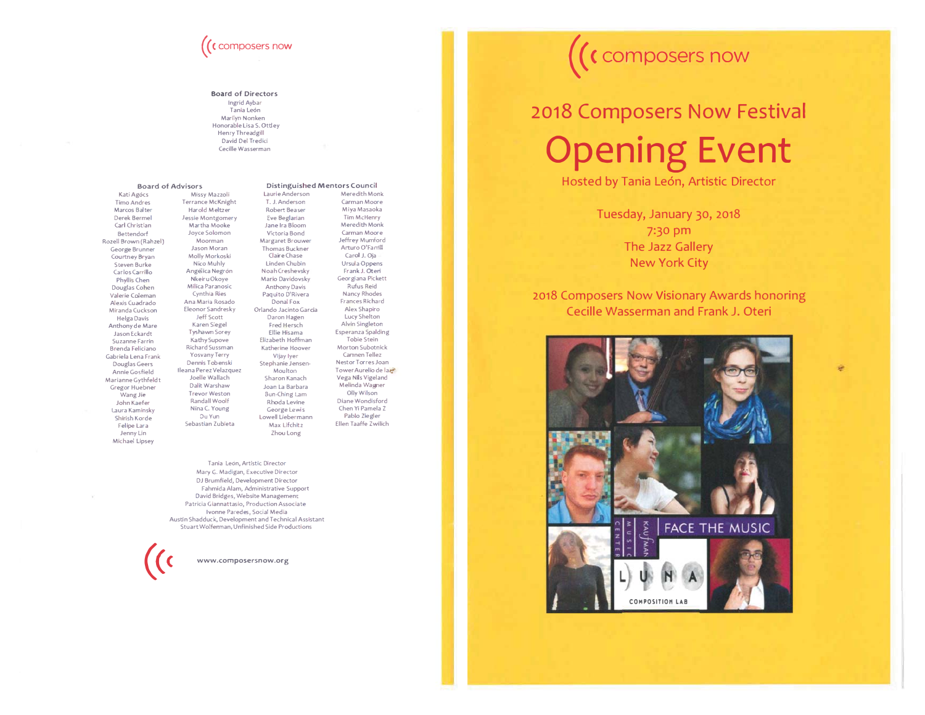# $\big($  (  $\mathfrak c$  composers now

#### **Board of Directors**

Ingrid Aybar Tania León Marílyn Nonken Honorable Lisa S. Ottley Henry Threadgill David Del Tredici Cecille Wasserman

#### **Board of Advisors** Kati Agócs Timo Andres Marcos Balter Derek Bermel Carl Christian Bettendorf **Rozell Brown (Rahzel)** George Brunner Courtney Bryan Steven Burke Carlos Carrillo Phyllis Chen Douglas Cohen Valerie Coleman Alexis Cuadrado Miranda Cuckson Helga Davis Anthony de Mare Jason Eckardt Suzanne Farrin a<br>Brenda Feliciano Gabriela Lena Frank Douglas Geers Annie Gosfield Marianne Gythfeldt Gregor Huebner Wang Jie John Kaefer Laura Kaminsky  $\mathsf{Shiftsh}$  <code>Korde</code> Felipe Lara Jenny Lin Michael Lipsey

**Distinguished Mentors Council** Missy Mazzoli Laurie Anderson Terrance McKni ght T. J. Anderson Harold Meltzer and a Robert Beaser Jessie Montgome ġ -ġ³~àġ Martha Mooke Joyce Solomon Jane Ira Bloom Victoria Bond Margaret Brouwer Moorman Jason Moran Thomas Buckner Molly Morkoski<br>Nico Muhly Claire Chase Nico Muhly Linden Chubin Angélica Ne grón Noah Creshevsky Nkeir u Okoye Mario Davidovsky Milica Paranosic Anthony Davis Cynthia Ries Paquito D'Rivera Ana Maria Rosado Donal Fox sky Orlando Jacinto Garcia Eleonor Sandresky Jeff Scott Daron Hagen Karen Siegel **Fred Hersch** y Ellie Hisama Tyshawn Sore zabeth Hoffman **Kathy Supove** Richard Sussman Katherine Hoover Yosvany Terry rry Vijay Iyer Dennis Tobenski Stephanie Jensenlleana Perez Ve Moulton Joelle Wallach Sharon Kanach Dalit Warshaw Joan La Barbara Trevor Weston Sun-Ching Lam Randall Woolf Rhoda Levine Nina C. Young George Lewis Du Yun Lowell Liebermann Sebastian Zubieta Max Lifchitz Zhou Long

Carman Moore Miya Masaoka Tim McHenry Meredith Monk Carman Moore Jeffrey Mumford Arturo O'Famil Carol J. Oia Ursula Oppens Frank J. Oteri Georgiana Pickett **Rufus Reid** Nancy Rhodes Frances Richard Alex Shapiro Lucy Shelton Alvin Singleton Esperanza Spalding Tobie Stein Morton Subotnick Carnnen Tellez Nestor Torres Joan Tower Aurelio de la Vega Nils Vigeland Melinda Wagner Olly Wi**l**son .<br>Diane Wondisford Chen Yi Pamela 7 Pablo Ziegler Ellen Taaffe Zwilich

Mere dith Monk

Tania León, Artistic Director Mary G. Madigan, Executive Director DJ Brumfield, Development Director Fahmida Alam, Administrative Support David Bridges, Website Management Patricia Giannattasio, Production Associate Ivonne Paredes, Social Media Austin Shadduck, Development and Technical Assistant Stuart Wolfennan, Unfinished Side Productions



## $\bigl( \bigl($ **C** composers now

# 2018 Composers Now Festival **Opening Event**

Hosted by Tania León, Artistic Director

Tuesday, January 30, 2018 7:30 pm The Jazz Gallery New York City

2018 Composers Now Visionary Awards honoring Cecille Wasserman and Frank J. Oteri

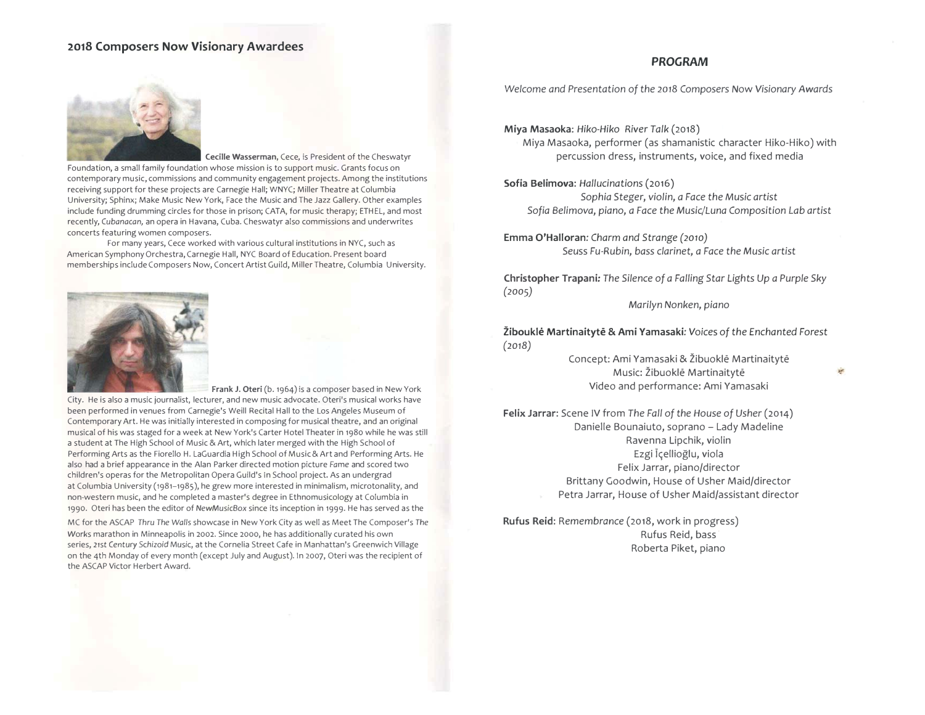#### 2018 Composers Now Visionary Awardees

#### **PROGRAM**



Cecille Wasserman, Cece, is President of the Cheswatyr Foundation, a small family foundation whose mission is to support music. Grants focus on contemporary music, commissions and community engagement projects. Among the institutions receiving support for these projects are Carnegie Hall; WNYC; Miller Theatre at Columbia University; Sphinx; Make Music New York, Face the Music and The Jazz Gallery. Other examples include funding drumming circles for those in prison; CATA, for music therapy; ETHEL, and most recently, Cubanacan, an opera in Havana, Cuba. Cheswatyr also commissions and underwrites concerts featuring women composers.

For many years, Cece worked with various cultural institutions in NYC, such as American Symphony Orchestra, Carnegie Hall, NYC Board of Education. Present board memberships include Composers Now, Concert Artist Guild, Miller Theatre, Columbia University.



Frank J. Oteri (b. 1964) is a composer based in New York City. He is also a music journalist, lecturer, and new music advocate. Oteri's musical works have been performed in venues from Carnegie's Weill Recital Hall to the Los Angeles Museum of Contemporary Art. He was initially interested in composing for musical theatre, and an original musical of his was staged for a week at New York's Carter Hotel Theater in 1980 while he was still a student at The High School of Music & Art, which later merged with the High School of Performing Arts as the Fiorello H. LaGuardia High School of Music & Art and Performing Arts. He also had a brief appearance in the Alan Parker directed motion picture Fame and scored two children's operas for the Metropolitan Opera Guild's In School project. As an undergrad at Columbia University (1981-1985), he grew more interested in minimalism, microtonality, and non-western music, and he completed a master's degree in Ethnomusicology at Columbia in 1990. Oteri has been the editor of NewMusicBox since its inception in 1999. He has served as the

MC for the ASCAP Thru The Walls showcase in New York City as well as Meet The Composer's The Works marathon in Minneapolis in 2002. Since 2000, he has additionally curated his own series, 21st Century Schizoid Music, at the Cornelia Street Cafe in Manhattan's Greenwich Village on the 4th Monday of every month (except July and August). In 2007, Oteri was the recipient of the ASCAP Victor Herbert Award.

Welcome and Presentation of the 2018 Composers Now Visionary Awards

Miya Masaoka: Hiko-Hiko River Talk (2018) Miya Masaoka, performer (as shamanistic character Hiko-Hiko) with percussion dress, instruments, voice, and fixed media

Sofia Belimova: Hallucinations (2016)

Sophia Steger, violin, a Face the Music artist Sofia Belimova, piano, a Face the Music/Luna Composition Lab artist

Emma O'Halloran: Charm and Strange (2010) Seuss Fu-Rubin, bass clarinet, a Face the Music artist

Christopher Trapani: The Silence of a Falling Star Lights Up a Purple Sky  $(2005)$ 

Marilyn Nonken, piano

Žibouklė Martinaitytė & Ami Yamasaki: Voices of the Enchanted Forest  $(2018)$ 

> Concept: Ami Yamasaki & Žibuoklē Martinaitytē Music: Žibuoklė Martinaitytė Video and performance: Ami Yamasaki

Felix Jarrar: Scene IV from The Fall of the House of Usher (2014) Danielle Bounaiuto, soprano - Lady Madeline Ravenna Lipchik, violin Ezgi Içellioğlu, viola Felix Jarrar, piano/director Brittany Goodwin, House of Usher Maid/director Petra Jarrar, House of Usher Maid/assistant director

Rufus Reid: Remembrance (2018, work in progress) Rufus Reid, bass Roberta Piket, piano

ŵ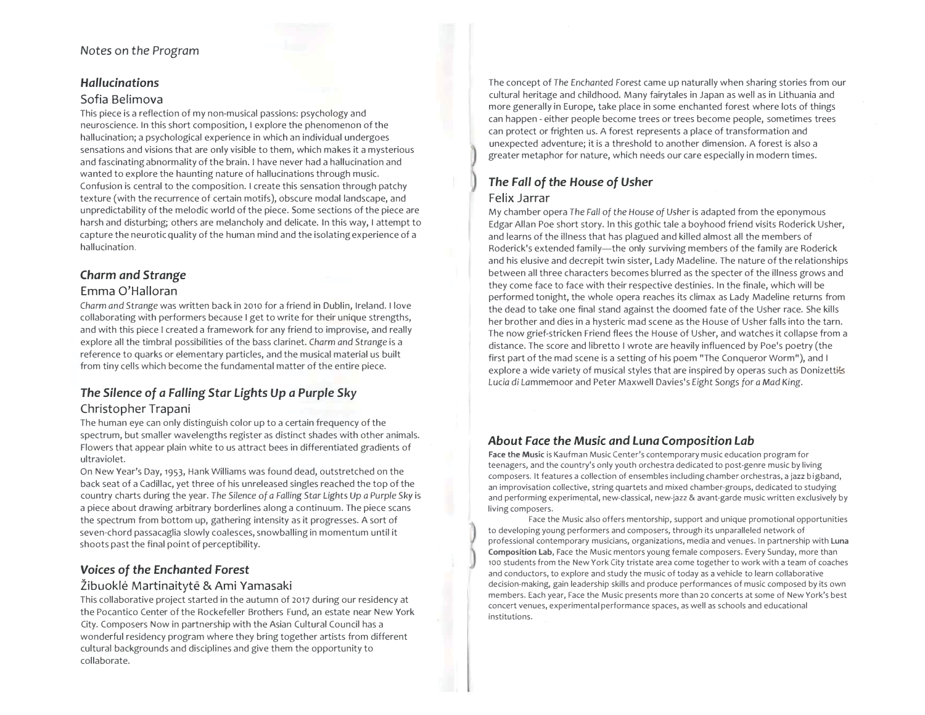#### $\blacksquare$  Notes on the Program

#### *-*

#### Sofia Belimova

This piece is a reflection of my non-musical passions: psychology and neuroscience. In this short composition, I explore the phenomenon of the hallucination; a psychological experience in which an individual undergoes sensations and visions that are only visible to them, which makes it a mysterious and fascinating abnormality of the brain. I have never had a hallucination and wanted to explore the haunting nature of hallucinations through music. Confusion is central to the composition. I create this sensation through patchy texture (with the recurrence of certain motifs), obscure modal landscape, and unpredictability of the melodic world of the piece. Some sections of the piece are harsh and disturbing; others are melancholy and delicate. In this way, I attempt to capture the neurotic quality of the human mind and the isolating experience of a hallucination.

#### **Charm** and Strange

#### Emma O'Halloran

Charm and Strange was written back in 2010 for a friend in Dublin, Ireland. I love collaborating with performers because I get to write for their unique strengths, and with this piece I created a framework for any friend to improvise, and really explore all the timbral possibilities of the bass clarinet. Charm and Strange is a reference to quarks or elementary particles, and the musical material us built from tiny cells which become the fundamental matter of the entire piece.

## The Silence of a Falling Star Lights Up a Purple Sky

#### Christopher Trapani

The human eye can only distinguish color up to a certain frequency of the spectrum, but smaller wavelengths register as distinct shades with other animals. Flowers that appear plain white to us attract bees in differentiated gradients of ultraviolet.

On New Year's Day, 1953, Hank Williams was found dead, outstretched on the back seat of a Cadillac, yet three of his unreleased singles reached the top of the country charts during the year. The Silence of a Falling Star Lights Up a Purple Sky is a piece about drawing arbitrary borderlines along a continuum. The piece scans the spectrum from bottom up, gathering intensity as it progresses. A sort of seven-chord passacaglia slowly coalesces, snowballing in momentum until it shoots past the final point of perceptibility.

#### **V**oices of the Enchanted Forest

#### Žibuoklė Martinaitytė & Ami Yamasaki

This collaborative project started in the autumn of 2017 during our residency at the Pocantico Center of the Rockefeller Brothers Fund, an estate near New York City. Composers Now in partnership with the Asian Cultural Council has a wonderful residency program where they bring together artists from different cultural backgrounds and disciplines and give them the opportunity to collaborate.

The concept of The Enchanted Forest came up naturally when sharing stories from our cultural heritage and childhood. Many fairytales in Japan as well as in Lithuania and more generally in Europe, take place in some enchanted forest where lots of things can happen - either people become trees or trees become people, sometimes trees can protect or frighten us. A forest represents a place of transformation and unexpected adventure; it is a threshold to another dimension. A forest is also a greater metaphor for nature, which needs our care especially in modern times.

### The Fall of the House of Usher **Felix Jarrar**

My chamber opera The Fall of the House of Usher is adapted from the eponymous Edgar Allan Poe short story. In this gothic tale a boyhood friend visits Roderick Usher, and learns of the illness that has plagued and killed almost all the members of Roderick's extended family—the only surviving members of the family are Roderick and his elusive and decrepit twin sister, Lady Madeline. The nature of the relationships between all three characters becomes blurred as the specter of the illness grows and they come face to face with their respective destinies. In the finale, which will be performed tonight, the whole opera reaches its climax as Lady Madeline returns from the dead to take one final stand against the doomed fate of the Usher race. She kills her brother and dies in a hysteric mad scene as the House of Usher falls into the tarn. The now grief-stricken Friend flees the House of Usher, and watches it collapse from a distance. The score and libretto I wrote are heavily influenced by Poe's poetry (the first part of the mad scene is a setting of his poem "The Conqueror Worm"), and I explore a wide variety of musical styles that are inspired by operas such as Donizettils Lucia di Lammemoor and Peter Maxwell Davies's Eight Songs for a Mad King.

#### About Face the Music and Luna Composition Lab

**Face the Music** is Kaufman Music Center's contemporary music education program for teenagers, and the country's only youth orchestra dedicated to post-genre music by living composers. It features a collection of ensembles including chamber orchestras, a jazz bigband, an improvisation collective, string quartets and mixed chamber-groups, dedicated to studying and performing experimental, new-classical, new-jazz & avant-garde music written exclusively by living composers.

Face the Music also offers mentorship, support and unique promotional opportunities to developing young performers and composers, through its unparalleled network of professional contemporary musicians, organizations, media and venues. In partnership with **Luna Composition Lab,** Face the Music mentors young female composers. Every Sunday, more than 100 students from the New York City tristate area come together to work with a team of coaches and conductors, to explore and study the music of today as a vehicle to learn collaborative decision-making, gain leadership skills and produce performances of music composed by its own members. Each year, Face the Music presents more than 20 concerts at some of New York's best concert venues, experimental performance spaces, as well as schools and educational institutions.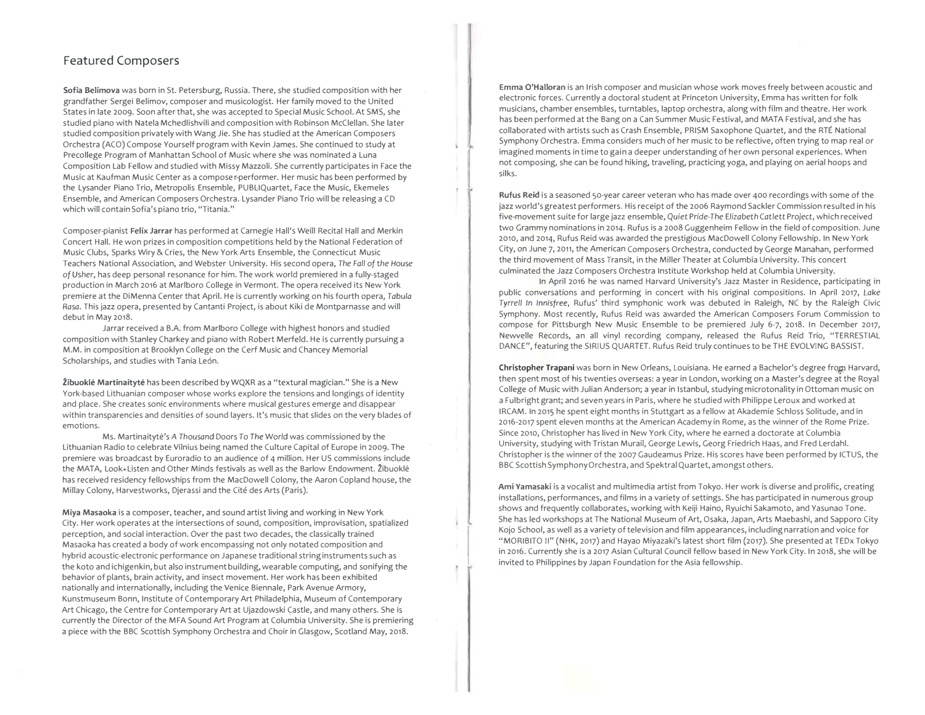#### **Featured Composers**

Sofia Belimova was born in St. Petersburg, Russia. There, she studied composition with her grandfather Sergei Belimov, composer and musicologist. Her family moved to the United States in late 2009. Soon after that, she was accepted to Special Music School. At SMS, she studied piano with Natela Mchedlishvili and composition with Robinson McClellan. She later studied composition privately with Wang Jie. She has studied at the American Composers Orchestra (ACO) Compose Yourself program with Kevin James. She continued to study at Precollege Program of Manhattan School of Music where she was nominated a Luna Composition Lab Fellow and studied with Missy Mazzoli. She currently participates in Face the Music at Kaufman Music Center as a compose r-performer. Her music has been performed by the Lysander Piano Trio, Metropolis Ensemble, PUBLIQuartet, Face the Music, Ekemeles Ensemble, and American Composers Orchestra. Lysander Piano Trio will be releasing a CD which will contain Sofia's piano trio, "Titania."

Composer-pianist Felix Jarrar has performed at Carnegie Hall's Weill Recital Hall and Merkin Concert Hall. He won prizes in composition competitions held by the National Federation of Music Clubs, Sparks Wiry & Cries, the New York Arts Ensemble, the Connecticut Music Teachers National Association, and Webster University. His second opera, The Fall of the House of Usher, has deep personal resonance for him. The work world premiered in a fully-staged production in March 2016 at Marlboro College in Vermont. The opera received its New York premiere at the DiMenna Center that April. He is currently working on his fourth opera, T*abula* Rasa. This jazz opera, presented by Cantanti Project, is about Kiki de Montparnasse and will debut in May 2018.

Jarrar received a B.A. from Marlboro College with highest honors and studied composition with Stanley Charkey and piano with Robert Merfeld. He is currently pursuing a M.M. in composition at Brooklyn College on the Cerf Music and Chancey Memorial Scholarships, and studies with Tania León.

**Žibuoklė Martinaitytė** has been described by WQXR as a "textural magician." She is a New York-based Lithuanian composer whose works explore the tensions and longings of identity and place. She creates sonic environments where musical gestures emerge and disappear within transparencies and densities of sound layers. It's music that slides on the very blades of emotions.

Ms. Martinaitytė's A Thousand Doors To The World was commissioned by the Lithuanian Radio to celebrate Vilnius being named the Culture Capital of Europe in 2009. The premiere was broadcast by Euroradio to an audience of 4 million. Her US commissions include the MATA, Look+Listen and Other Minds festivals as well as the Barlow Endowment. Žibuoklė has received residency fellowships from the MacDowell Colony, the Aaron Copland house, the Millay Colony, Harvestworks, Djerassi and the Cité des Arts (Paris).

**Miya Masaoka** is a composer, teacher, and sound artist living and working in New York City. Her work operates at the intersections of sound, composition, improvisation, spatialized perception, and social interaction. Over the past two decades, the classically trained Masaoka has created a body of work encompassing not only notated composition and hybrid acoustic-electronic performance on Japanese traditional string instruments such as the koto and ichigenkin, but also instrument building, wearable computing, and sonifying the behavior of plants, brain activity, and insect movement. Her work has been exhibited nationally and internationally, including the Venice Biennale, Park Avenue Armory, Kunstmuseum Bonn, Institute of Contemporary Art Philadelphia, Museum of Contemporary Art Chicago, the Centre for Contemporary Art at Ujazdowski Castle, and many others. She is currently the Director of the MFA Sound Art Program at Columbia University. She is premiering a piece with the BBC Scottish Symphony Orchestra and Choir in Glasgow, Scotland May, 2018.

Emma O'Halloran is an Irish composer and musician whose work moves freely between acoustic and electronic forces. Currently a doctoral student at Princeton University, Emma has written for folk musicians, chamber ensembles, turntables, laptop orchestra, along with film and theatre. Her work has been performed at the Bang on a Can Summer Music Festival, and MATA Festival, and she has collaborated with artists such as Crash Ensemble, PRISM Saxophone Quartet, and the RTÉ National Symphony Orchestra. Emma considers much of her music to be reflective, often trying to map real or imagined moments in time to gain a deeper understanding of her own personal experiences. When not composing, she can be found hiking, traveling, practicing yoga, and playing on aerial hoops and silks.

Rufus Reid is a seasoned 50-year career veteran who has made over 400 recordings with some of the jazz world's greatest performers. His receipt of the 2006 Raymond Sackler Commission resulted in his five-movement suite for large jazz ensemble, Quiet Pride-The Elizabeth Catlett Project, which received two Grammy nominations in 2014. Rufus is a 2008 Guggenheim Fellow in the field of composition. June 2010, and 2014, Rufus Reid was awarded the prestigious MacDowell Colony Fellowship. In New York City, on June 7, 2011, the American Composers Orchestra, conducted by George Manahan, performed the third movement of Mass Transit, in the Miller Theater at Columbia University. This concert culminated the Jazz Composers Orchestra Institute Workshop held at Columbia University.

In April 2016 he was named Harvard University's Jazz Master in Residence, participating in public conversations and performing in concert with his original compositions. In April 2017, Lake Tyrrell in Innisfree, Rufus' third symphonic work was debuted in Raleigh, NC by the Raleigh Civic Symphony. Most recently, Rufus Reid was awarded the American Composers Forum Commission to compose for Pittsburgh New Music Ensemble to be premiered July 6-7, 2018. In December 2017, Newvelle Records, an all vinyl recording company, released the Rufus Reid Trio, "TERRESTIAL DANCE", featuring the SIRIUS QUARTET. Rufus Reid truly continues to be THE EVOLVING BASSIST.

Christopher Trapani was born in New Orleans, Louisiana. He earned a Bachelor's degree from Harvard, then spent most of his twenties overseas: a year in London, working on a Master's degree at the Royal College of Music with Julian Anderson; a year in Istanbul, studying microtonality in Ottoman music on a Fulbright grant; and seven years in Paris, where he studied with Philippe Leroux and worked at IRCAM. In 2015 he spent eight months in Stuttgart as a fellow at Akademie Schloss Solitude, and in 2016-2017 spent eleven months at the American Academy in Rome, as the winner of the Rome Prize. Since 2010, Christopher has lived in New York City, where he earned a doctorate at Columbia University, studying with Tristan Murail, George Lewis, Georg Friedrich Haas, and Fred Lerdahl. Christopher is the winner of the 2007 Gaudeamus Prize. His scores have been performed by ICTUS, the BBC Scottish Symphony Orchestra, and Spektral Quartet, amongst others.

**Ami Yamasaki** is a vocalist and multimedia artist from Tokyo. Her work is diverse and prolific, creating installations, performances, and films in a variety of settings. She has participated in numerous group shows and frequently collaborates, working with Keiji Haino, Ryuichi Sakamoto, and Yasunao Tone. She has led workshops at The National Museum of Art, Osaka, Japan, Arts Maebashi, and Sapporo City Kojo School, as well as a variety of television and film appearances, including narration and voice for "MORIBITO II" (NHK, 2017) and Hayao Miyazaki's latest short film (2017). She presented at TEDx Tokyo in 2016. Currently she is a 2017 Asian Cultural Council fellow based in New York City. In 2018, she will be invited to Philippines by Japan Foundation for the Asia fellowship.